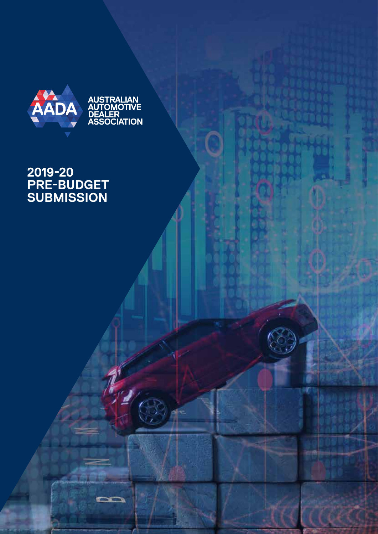

## **2019-20 PRE-BUDGET SUBMISSION**

**CONTRACTOR**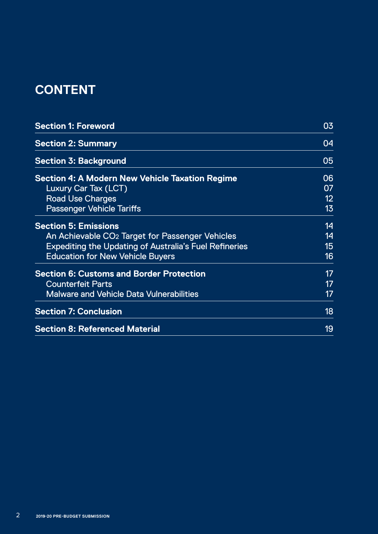## **CONTENT**

| <b>Section 1: Foreword</b>                                    | 03              |
|---------------------------------------------------------------|-----------------|
| <b>Section 2: Summary</b>                                     | 04              |
| <b>Section 3: Background</b>                                  | 05              |
| Section 4: A Modern New Vehicle Taxation Regime               | 06              |
| Luxury Car Tax (LCT)                                          | 07              |
| <b>Road Use Charges</b>                                       | 12 <sup>°</sup> |
| <b>Passenger Vehicle Tariffs</b>                              | 13              |
| <b>Section 5: Emissions</b>                                   | 14              |
| An Achievable CO <sub>2</sub> Target for Passenger Vehicles   | 14              |
| <b>Expediting the Updating of Australia's Fuel Refineries</b> | 15              |
| <b>Education for New Vehicle Buyers</b>                       | 16 <sup>°</sup> |
| <b>Section 6: Customs and Border Protection</b>               | 17              |
| <b>Counterfeit Parts</b>                                      | 17              |
| <b>Malware and Vehicle Data Vulnerabilities</b>               | 17              |
| <b>Section 7: Conclusion</b>                                  | 18              |
| <b>Section 8: Referenced Material</b>                         | 19              |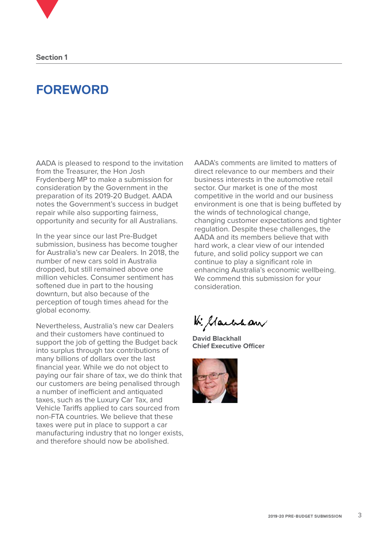## **FOREWORD**

AADA is pleased to respond to the invitation from the Treasurer, the Hon Josh Frydenberg MP to make a submission for consideration by the Government in the preparation of its 2019-20 Budget. AADA notes the Government's success in budget repair while also supporting fairness, opportunity and security for all Australians.

In the year since our last Pre-Budget submission, business has become tougher for Australia's new car Dealers. In 2018, the number of new cars sold in Australia dropped, but still remained above one million vehicles. Consumer sentiment has softened due in part to the housing downturn, but also because of the perception of tough times ahead for the global economy.

Nevertheless, Australia's new car Dealers and their customers have continued to support the job of getting the Budget back into surplus through tax contributions of many billions of dollars over the last financial year. While we do not object to paying our fair share of tax, we do think that our customers are being penalised through a number of inefficient and antiquated taxes, such as the Luxury Car Tax, and Vehicle Tariffs applied to cars sourced from non-FTA countries. We believe that these taxes were put in place to support a car manufacturing industry that no longer exists, and therefore should now be abolished.

AADA's comments are limited to matters of direct relevance to our members and their business interests in the automotive retail sector. Our market is one of the most competitive in the world and our business environment is one that is being buffeted by the winds of technological change, changing customer expectations and tighter regulation. Despite these challenges, the AADA and its members believe that with hard work, a clear view of our intended future, and solid policy support we can continue to play a significant role in enhancing Australia's economic wellbeing. We commend this submission for your consideration.

W. Marchan

**David Blackhall Chief Executive Officer**

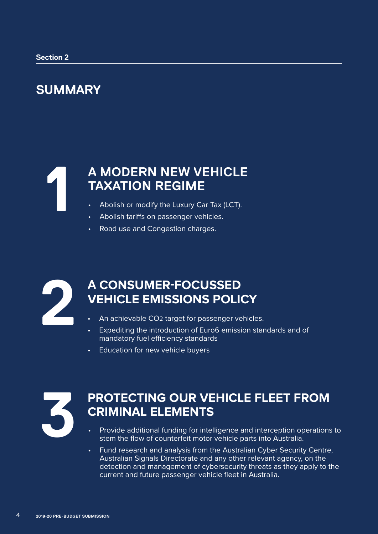## **SUMMARY**

## **A MODERN NEW VEHICLE TAXATION REGIME 1**

- Abolish or modify the Luxury Car Tax (LCT).
- Abolish tariffs on passenger vehicles.
- Road use and Congestion charges.



## **A CONSUMER-FOCUSSED VEHICLE EMISSIONS POLICY**<br> **2** An achievable CO2 target for passenger vehicle<br> **2** Expediting the introduction of Euro6 emission st

- An achievable CO<sub>2</sub> target for passenger vehicles.
- Expediting the introduction of Euro6 emission standards and of mandatory fuel efficiency standards
- Education for new vehicle buyers



## **PROTECTING OUR VEHICLE FLEET FROM CRIMINAL ELEMENTS 3**

- Provide additional funding for intelligence and interception operations to stem the flow of counterfeit motor vehicle parts into Australia.
- Fund research and analysis from the Australian Cyber Security Centre, Australian Signals Directorate and any other relevant agency, on the detection and management of cybersecurity threats as they apply to the current and future passenger vehicle fleet in Australia.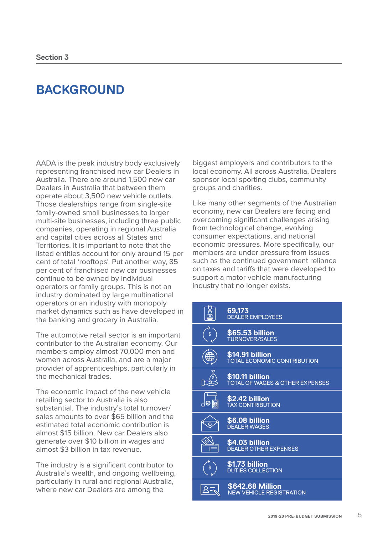## **BACKGROUND**

AADA is the peak industry body exclusively representing franchised new car Dealers in Australia. There are around 1,500 new car Dealers in Australia that between them operate about 3,500 new vehicle outlets. Those dealerships range from single-site family-owned small businesses to larger multi-site businesses, including three public companies, operating in regional Australia and capital cities across all States and Territories. It is important to note that the listed entities account for only around 15 per cent of total 'rooftops'. Put another way, 85 per cent of franchised new car businesses continue to be owned by individual operators or family groups. This is not an industry dominated by large multinational operators or an industry with monopoly market dynamics such as have developed in the banking and grocery in Australia.

The automotive retail sector is an important contributor to the Australian economy. Our members employ almost 70,000 men and women across Australia, and are a major provider of apprenticeships, particularly in the mechanical trades.

The economic impact of the new vehicle retailing sector to Australia is also substantial. The industry's total turnover/ sales amounts to over \$65 billion and the estimated total economic contribution is almost \$15 billion. New car Dealers also generate over \$10 billion in wages and almost \$3 billion in tax revenue.

The industry is a significant contributor to Australia's wealth, and ongoing wellbeing, particularly in rural and regional Australia, where new car Dealers are among the

biggest employers and contributors to the local economy. All across Australia, Dealers sponsor local sporting clubs, community groups and charities.

Like many other segments of the Australian economy, new car Dealers are facing and overcoming significant challenges arising from technological change, evolving consumer expectations, and national economic pressures. More specifically, our members are under pressure from issues such as the continued government reliance on taxes and tariffs that were developed to support a motor vehicle manufacturing industry that no longer exists.

|    | 69,173<br><b>DEÁLER EMPLOYEES</b>                             |
|----|---------------------------------------------------------------|
| \$ | \$65.53 billion<br>TURNOVER/SALES                             |
|    | \$14.91 billion<br>TOTAL ECONOMIC CONTRIBUTION                |
|    | \$10.11 billion<br><b>TOTAL OF WAGES &amp; OTHER EXPENSES</b> |
| Ø  | \$2.42 billion<br><b>TAX CONTRIBUTION</b>                     |
|    | <b>\$6.08 billion</b><br><b>DEALER WAGES</b>                  |
|    | <b>\$4.03 billion</b><br>DEALER OTHER EXPENSES                |
| \$ | \$1.73 billion<br>DUTIES COLLECTION                           |
|    | \$642.68 Million<br><b>NEW VEHICLE REGISTRATION</b>           |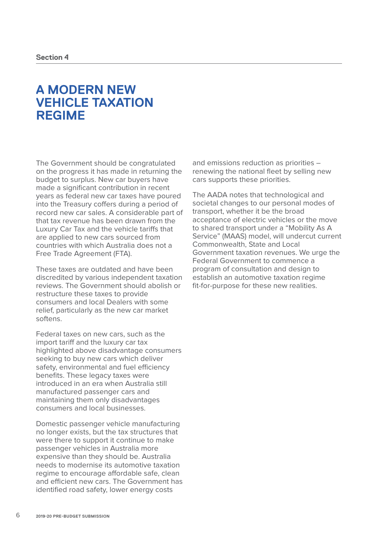## **A MODERN NEW VEHICLE TAXATION REGIME**

The Government should be congratulated on the progress it has made in returning the budget to surplus. New car buyers have made a significant contribution in recent years as federal new car taxes have poured into the Treasury coffers during a period of record new car sales. A considerable part of that tax revenue has been drawn from the Luxury Car Tax and the vehicle tariffs that are applied to new cars sourced from countries with which Australia does not a Free Trade Agreement (FTA).

These taxes are outdated and have been discredited by various independent taxation reviews. The Government should abolish or restructure these taxes to provide consumers and local Dealers with some relief, particularly as the new car market softens.

Federal taxes on new cars, such as the import tariff and the luxury car tax highlighted above disadvantage consumers seeking to buy new cars which deliver safety, environmental and fuel efficiency benefits. These legacy taxes were introduced in an era when Australia still manufactured passenger cars and maintaining them only disadvantages consumers and local businesses.

Domestic passenger vehicle manufacturing no longer exists, but the tax structures that were there to support it continue to make passenger vehicles in Australia more expensive than they should be. Australia needs to modernise its automotive taxation regime to encourage affordable safe, clean and efficient new cars. The Government has identified road safety, lower energy costs

and emissions reduction as priorities – renewing the national fleet by selling new cars supports these priorities.

The AADA notes that technological and societal changes to our personal modes of transport, whether it be the broad acceptance of electric vehicles or the move to shared transport under a "Mobility As A Service" (MAAS) model, will undercut current Commonwealth, State and Local Government taxation revenues. We urge the Federal Government to commence a program of consultation and design to establish an automotive taxation regime fit-for-purpose for these new realities.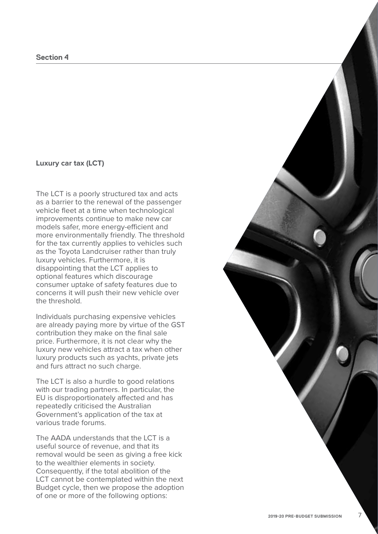#### **Luxury car tax (LCT)**

The LCT is a poorly structured tax and acts as a barrier to the renewal of the passenger vehicle fleet at a time when technological improvements continue to make new car models safer, more energy-efficient and more environmentally friendly. The threshold for the tax currently applies to vehicles such as the Toyota Landcruiser rather than truly luxury vehicles. Furthermore, it is disappointing that the LCT applies to optional features which discourage consumer uptake of safety features due to concerns it will push their new vehicle over the threshold.

Individuals purchasing expensive vehicles are already paying more by virtue of the GST contribution they make on the final sale price. Furthermore, it is not clear why the luxury new vehicles attract a tax when other luxury products such as yachts, private jets and furs attract no such charge.

The LCT is also a hurdle to good relations with our trading partners. In particular, the EU is disproportionately affected and has repeatedly criticised the Australian Government's application of the tax at various trade forums.

The AADA understands that the LCT is a useful source of revenue, and that its removal would be seen as giving a free kick to the wealthier elements in society. Consequently, if the total abolition of the LCT cannot be contemplated within the next Budget cycle, then we propose the adoption of one or more of the following options: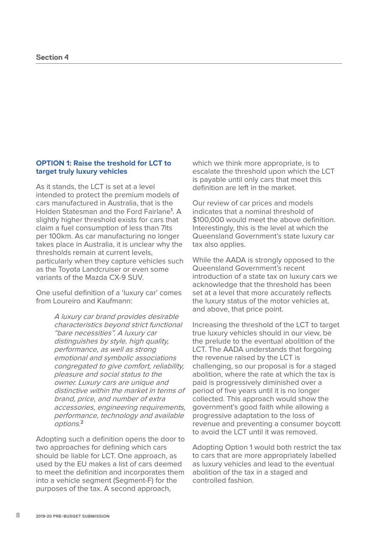#### **OPTION 1: Raise the treshold for LCT to target truly luxury vehicles**

As it stands, the LCT is set at a level intended to protect the premium models of cars manufactured in Australia, that is the Holden Statesman and the Ford Fairlane**<sup>1</sup>** . A slightly higher threshold exists for cars that claim a fuel consumption of less than 7lts per 100km. As car manufacturing no longer takes place in Australia, it is unclear why the thresholds remain at current levels, particularly when they capture vehicles such as the Toyota Landcruiser or even some variants of the Mazda CX-9 SUV.

One useful definition of a 'luxury car' comes from Loureiro and Kaufmann:

> A luxury car brand provides desirable characteristics beyond strict functional "bare necessities". A luxury car distinguishes by style, high quality, performance, as well as strong emotional and symbolic associations congregated to give comfort, reliability, pleasure and social status to the owner. Luxury cars are unique and distinctive within the market in terms of brand, price, and number of extra accessories, engineering requirements, performance, technology and available options.**<sup>2</sup>**

Adopting such a definition opens the door to two approaches for defining which cars should be liable for LCT. One approach, as used by the EU makes a list of cars deemed to meet the definition and incorporates them into a vehicle segment (Segment-F) for the purposes of the tax. A second approach,

which we think more appropriate, is to escalate the threshold upon which the LCT is payable until only cars that meet this definition are left in the market.

Our review of car prices and models indicates that a nominal threshold of \$100,000 would meet the above definition. Interestingly, this is the level at which the Queensland Government's state luxury car tax also applies.

While the AADA is strongly opposed to the Queensland Government's recent introduction of a state tax on luxury cars we acknowledge that the threshold has been set at a level that more accurately reflects the luxury status of the motor vehicles at, and above, that price point.

Increasing the threshold of the LCT to target true luxury vehicles should in our view, be the prelude to the eventual abolition of the LCT. The AADA understands that forgoing the revenue raised by the LCT is challenging, so our proposal is for a staged abolition, where the rate at which the tax is paid is progressively diminished over a period of five years until it is no longer collected. This approach would show the government's good faith while allowing a progressive adaptation to the loss of revenue and preventing a consumer boycott to avoid the LCT until it was removed.

Adopting Option 1 would both restrict the tax to cars that are more appropriately labelled as luxury vehicles and lead to the eventual abolition of the tax in a staged and controlled fashion.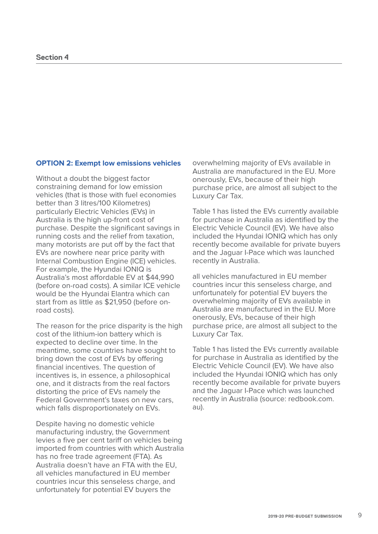#### **OPTION 2: Exempt low emissions vehicles**

Without a doubt the biggest factor constraining demand for low emission vehicles (that is those with fuel economies better than 3 litres/100 Kilometres) particularly Electric Vehicles (EVs) in Australia is the high up-front cost of purchase. Despite the significant savings in running costs and the relief from taxation, many motorists are put off by the fact that EVs are nowhere near price parity with Internal Combustion Engine (ICE) vehicles. For example, the Hyundai IONIQ is Australia's most affordable EV at \$44,990 (before on-road costs). A similar ICE vehicle would be the Hyundai Elantra which can start from as little as \$21,950 (before onroad costs).

The reason for the price disparity is the high cost of the lithium-ion battery which is expected to decline over time. In the meantime, some countries have sought to bring down the cost of EVs by offering financial incentives. The question of incentives is, in essence, a philosophical one, and it distracts from the real factors distorting the price of EVs namely the Federal Government's taxes on new cars, which falls disproportionately on EVs.

Despite having no domestic vehicle manufacturing industry, the Government levies a five per cent tariff on vehicles being imported from countries with which Australia has no free trade agreement (FTA). As Australia doesn't have an FTA with the EU, all vehicles manufactured in EU member countries incur this senseless charge, and unfortunately for potential EV buyers the

overwhelming majority of EVs available in Australia are manufactured in the EU. More onerously, EVs, because of their high purchase price, are almost all subject to the Luxury Car Tax.

Table 1 has listed the EVs currently available for purchase in Australia as identified by the Electric Vehicle Council (EV). We have also included the Hyundai IONIQ which has only recently become available for private buyers and the Jaguar I-Pace which was launched recently in Australia.

all vehicles manufactured in EU member countries incur this senseless charge, and unfortunately for potential EV buyers the overwhelming majority of EVs available in Australia are manufactured in the EU. More onerously, EVs, because of their high purchase price, are almost all subject to the Luxury Car Tax.

Table 1 has listed the EVs currently available for purchase in Australia as identified by the Electric Vehicle Council (EV). We have also included the Hyundai IONIQ which has only recently become available for private buyers and the Jaguar I-Pace which was launched recently in Australia (source: redbook.com. au).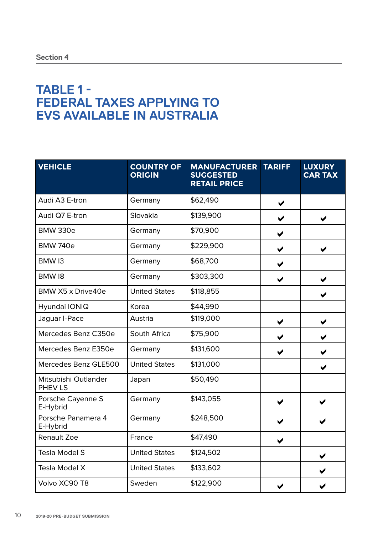## **TABLE 1 - FEDERAL TAXES APPLYING TO EVS AVAILABLE IN AUSTRALIA**

| <b>VEHICLE</b>                  | <b>COUNTRY OF</b><br><b>ORIGIN</b> | <b>MANUFACTURER</b><br><b>SUGGESTED</b><br><b>RETAIL PRICE</b> | <b>TARIFF</b>        | <b>LUXURY</b><br><b>CAR TAX</b> |
|---------------------------------|------------------------------------|----------------------------------------------------------------|----------------------|---------------------------------|
| Audi A3 E-tron                  | Germany                            | \$62,490                                                       | ✔                    |                                 |
| Audi Q7 E-tron                  | Slovakia                           | \$139,900                                                      | $\blacktriangledown$ | ✔                               |
| <b>BMW 330e</b>                 | Germany                            | \$70,900                                                       | ✔                    |                                 |
| <b>BMW 740e</b>                 | Germany                            | \$229,900                                                      | ✔                    | ✔                               |
| BMW <sub>13</sub>               | Germany                            | \$68,700                                                       | ✔                    |                                 |
| BMW18                           | Germany                            | \$303,300                                                      | ✔                    | ✔                               |
| BMW X5 x Drive40e               | <b>United States</b>               | \$118,855                                                      |                      | ✔                               |
| Hyundai IONIQ                   | Korea                              | \$44,990                                                       |                      |                                 |
| Jaguar I-Pace                   | Austria                            | \$119,000                                                      | ✔                    | ✔                               |
| Mercedes Benz C350e             | South Africa                       | \$75,900                                                       | ✔                    |                                 |
| Mercedes Benz E350e             | Germany                            | \$131,600                                                      | ✔                    |                                 |
| Mercedes Benz GLE500            | <b>United States</b>               | \$131,000                                                      |                      | ✔                               |
| Mitsubishi Outlander<br>PHEV LS | Japan                              | \$50,490                                                       |                      |                                 |
| Porsche Cayenne S<br>E-Hybrid   | Germany                            | \$143,055                                                      | ✔                    |                                 |
| Porsche Panamera 4<br>E-Hybrid  | Germany                            | \$248,500                                                      |                      |                                 |
| <b>Renault Zoe</b>              | France                             | \$47,490                                                       |                      |                                 |
| <b>Tesla Model S</b>            | <b>United States</b>               | \$124,502                                                      |                      |                                 |
| Tesla Model X                   | <b>United States</b>               | \$133,602                                                      |                      |                                 |
| Volvo XC90 T8                   | Sweden                             | \$122,900                                                      | ✔                    |                                 |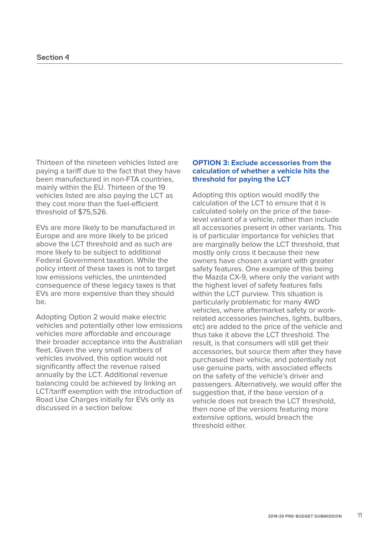Thirteen of the nineteen vehicles listed are paying a tariff due to the fact that they have been manufactured in non-FTA countries, mainly within the EU. Thirteen of the 19 vehicles listed are also paying the LCT as they cost more than the fuel-efficient threshold of \$75,526.

EVs are more likely to be manufactured in Europe and are more likely to be priced above the LCT threshold and as such are more likely to be subject to additional Federal Government taxation. While the policy intent of these taxes is not to target low emissions vehicles, the unintended consequence of these legacy taxes is that EVs are more expensive than they should be.

Adopting Option 2 would make electric vehicles and potentially other low emissions vehicles more affordable and encourage their broader acceptance into the Australian fleet. Given the very small numbers of vehicles involved, this option would not significantly affect the revenue raised annually by the LCT. Additional revenue balancing could be achieved by linking an LCT/tariff exemption with the introduction of Road Use Charges initially for EVs only as discussed in a section below.

#### **OPTION 3: Exclude accessories from the calculation of whether a vehicle hits the threshold for paying the LCT**

Adopting this option would modify the calculation of the LCT to ensure that it is calculated solely on the price of the baselevel variant of a vehicle, rather than include all accessories present in other variants. This is of particular importance for vehicles that are marginally below the LCT threshold, that mostly only cross it because their new owners have chosen a variant with greater safety features. One example of this being the Mazda CX-9, where only the variant with the highest level of safety features falls within the LCT purview. This situation is particularly problematic for many 4WD vehicles, where aftermarket safety or workrelated accessories (winches, lights, bullbars, etc) are added to the price of the vehicle and thus take it above the LCT threshold. The result, is that consumers will still get their accessories, but source them after they have purchased their vehicle, and potentially not use genuine parts, with associated effects on the safety of the vehicle's driver and passengers. Alternatively, we would offer the suggestion that, if the base version of a vehicle does not breach the LCT threshold, then none of the versions featuring more extensive options, would breach the threshold either.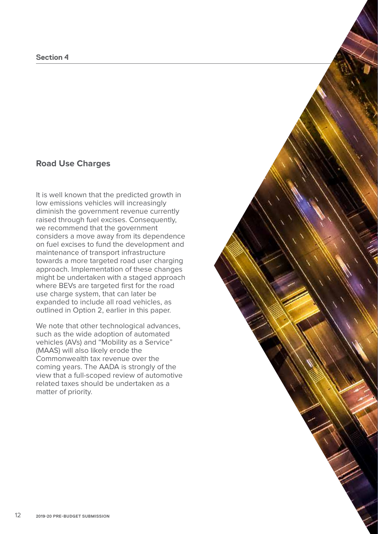#### **Section 4**

### **Road Use Charges**

It is well known that the predicted growth in low emissions vehicles will increasingly diminish the government revenue currently raised through fuel excises. Consequently, we recommend that the government considers a move away from its dependence on fuel excises to fund the development and maintenance of transport infrastructure towards a more targeted road user charging approach. Implementation of these changes might be undertaken with a staged approach where BEVs are targeted first for the road use charge system, that can later be expanded to include all road vehicles, as outlined in Option 2, earlier in this paper.

We note that other technological advances, such as the wide adoption of automated vehicles (AVs) and "Mobility as a Service" (MAAS) will also likely erode the Commonwealth tax revenue over the coming years. The AADA is strongly of the view that a full-scoped review of automotive related taxes should be undertaken as a matter of priority.

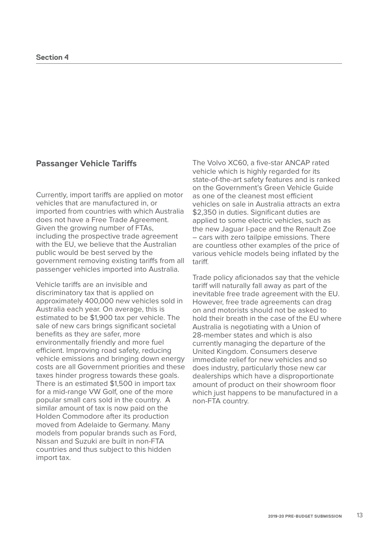#### **Passanger Vehicle Tariffs**

Currently, import tariffs are applied on motor vehicles that are manufactured in, or imported from countries with which Australia does not have a Free Trade Agreement. Given the growing number of FTAs, including the prospective trade agreement with the EU, we believe that the Australian public would be best served by the government removing existing tariffs from all passenger vehicles imported into Australia.

Vehicle tariffs are an invisible and discriminatory tax that is applied on approximately 400,000 new vehicles sold in Australia each year. On average, this is estimated to be \$1,900 tax per vehicle. The sale of new cars brings significant societal benefits as they are safer, more environmentally friendly and more fuel efficient. Improving road safety, reducing vehicle emissions and bringing down energy costs are all Government priorities and these taxes hinder progress towards these goals. There is an estimated \$1,500 in import tax for a mid-range VW Golf, one of the more popular small cars sold in the country. A similar amount of tax is now paid on the Holden Commodore after its production moved from Adelaide to Germany. Many models from popular brands such as Ford, Nissan and Suzuki are built in non-FTA countries and thus subject to this hidden import tax.

The Volvo XC60, a five-star ANCAP rated vehicle which is highly regarded for its state-of-the-art safety features and is ranked on the Government's Green Vehicle Guide as one of the cleanest most efficient vehicles on sale in Australia attracts an extra \$2,350 in duties. Significant duties are applied to some electric vehicles, such as the new Jaguar I-pace and the Renault Zoe – cars with zero tailpipe emissions. There are countless other examples of the price of various vehicle models being inflated by the tariff.

Trade policy aficionados say that the vehicle tariff will naturally fall away as part of the inevitable free trade agreement with the EU. However, free trade agreements can drag on and motorists should not be asked to hold their breath in the case of the EU where Australia is negotiating with a Union of 28-member states and which is also currently managing the departure of the United Kingdom. Consumers deserve immediate relief for new vehicles and so does industry, particularly those new car dealerships which have a disproportionate amount of product on their showroom floor which just happens to be manufactured in a non-FTA country.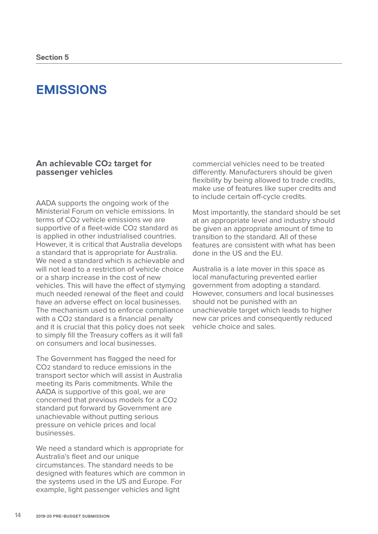## **EMISSIONS**

#### **An achievable CO2 target for passenger vehicles**

AADA supports the ongoing work of the Ministerial Forum on vehicle emissions. In terms of CO2 vehicle emissions we are supportive of a fleet-wide CO2 standard as is applied in other industrialised countries. However, it is critical that Australia develops a standard that is appropriate for Australia. We need a standard which is achievable and will not lead to a restriction of vehicle choice or a sharp increase in the cost of new vehicles. This will have the effect of stymying much needed renewal of the fleet and could have an adverse effect on local businesses. The mechanism used to enforce compliance with a CO2 standard is a financial penalty and it is crucial that this policy does not seek to simply fill the Treasury coffers as it will fall on consumers and local businesses.

The Government has flagged the need for CO2 standard to reduce emissions in the transport sector which will assist in Australia meeting its Paris commitments. While the AADA is supportive of this goal, we are concerned that previous models for a CO2 standard put forward by Government are unachievable without putting serious pressure on vehicle prices and local businesses.

We need a standard which is appropriate for Australia's fleet and our unique circumstances. The standard needs to be designed with features which are common in the systems used in the US and Europe. For example, light passenger vehicles and light

commercial vehicles need to be treated differently. Manufacturers should be given flexibility by being allowed to trade credits, make use of features like super credits and to include certain off-cycle credits.

Most importantly, the standard should be set at an appropriate level and industry should be given an appropriate amount of time to transition to the standard. All of these features are consistent with what has been done in the US and the EU.

Australia is a late mover in this space as local manufacturing prevented earlier government from adopting a standard. However, consumers and local businesses should not be punished with an unachievable target which leads to higher new car prices and consequently reduced vehicle choice and sales.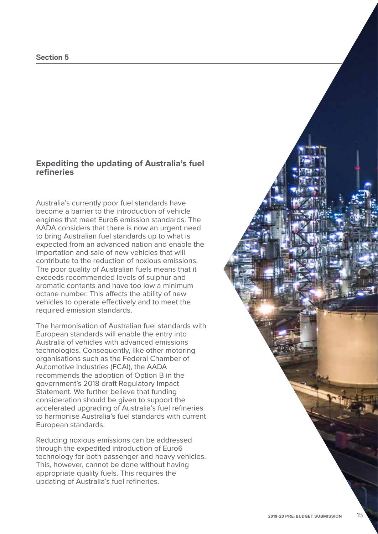#### **Section 5**

#### **Expediting the updating of Australia's fuel refineries**

Australia's currently poor fuel standards have become a barrier to the introduction of vehicle engines that meet Euro6 emission standards. The AADA considers that there is now an urgent need to bring Australian fuel standards up to what is expected from an advanced nation and enable the importation and sale of new vehicles that will contribute to the reduction of noxious emissions. The poor quality of Australian fuels means that it exceeds recommended levels of sulphur and aromatic contents and have too low a minimum octane number. This affects the ability of new vehicles to operate effectively and to meet the required emission standards.

The harmonisation of Australian fuel standards with European standards will enable the entry into Australia of vehicles with advanced emissions technologies. Consequently, like other motoring organisations such as the Federal Chamber of Automotive Industries (FCAI), the AADA recommends the adoption of Option B in the government's 2018 draft Regulatory Impact Statement. We further believe that funding consideration should be given to support the accelerated upgrading of Australia's fuel refineries to harmonise Australia's fuel standards with current European standards.

Reducing noxious emissions can be addressed through the expedited introduction of Euro6 technology for both passenger and heavy vehicles. This, however, cannot be done without having appropriate quality fuels. This requires the updating of Australia's fuel refineries.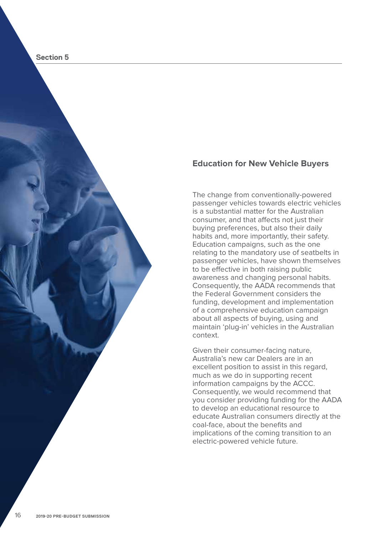

#### **Education for New Vehicle Buyers**

The change from conventionally-powered passenger vehicles towards electric vehicles is a substantial matter for the Australian consumer, and that affects not just their buying preferences, but also their daily habits and, more importantly, their safety. Education campaigns, such as the one relating to the mandatory use of seatbelts in passenger vehicles, have shown themselves to be effective in both raising public awareness and changing personal habits. Consequently, the AADA recommends that the Federal Government considers the funding, development and implementation of a comprehensive education campaign about all aspects of buying, using and maintain 'plug-in' vehicles in the Australian context.

Given their consumer-facing nature, Australia's new car Dealers are in an excellent position to assist in this regard, much as we do in supporting recent information campaigns by the ACCC. Consequently, we would recommend that you consider providing funding for the AADA to develop an educational resource to educate Australian consumers directly at the coal-face, about the benefits and implications of the coming transition to an electric-powered vehicle future.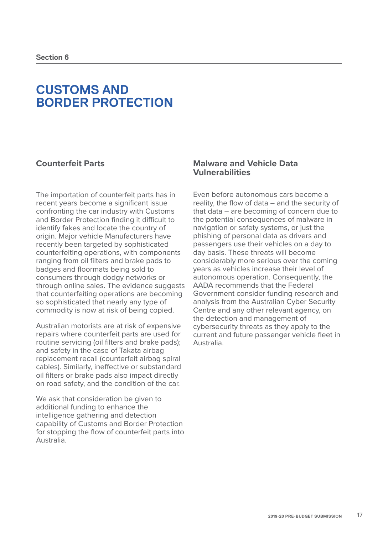## **CUSTOMS AND BORDER PROTECTION**

## **Counterfeit Parts**

The importation of counterfeit parts has in recent years become a significant issue confronting the car industry with Customs and Border Protection finding it difficult to identify fakes and locate the country of origin. Major vehicle Manufacturers have recently been targeted by sophisticated counterfeiting operations, with components ranging from oil filters and brake pads to badges and floormats being sold to consumers through dodgy networks or through online sales. The evidence suggests that counterfeiting operations are becoming so sophisticated that nearly any type of commodity is now at risk of being copied.

Australian motorists are at risk of expensive repairs where counterfeit parts are used for routine servicing (oil filters and brake pads); and safety in the case of Takata airbag replacement recall (counterfeit airbag spiral cables). Similarly, ineffective or substandard oil filters or brake pads also impact directly on road safety, and the condition of the car.

We ask that consideration be given to additional funding to enhance the intelligence gathering and detection capability of Customs and Border Protection for stopping the flow of counterfeit parts into Australia.

#### **Malware and Vehicle Data Vulnerabilities**

Even before autonomous cars become a reality, the flow of data – and the security of that data – are becoming of concern due to the potential consequences of malware in navigation or safety systems, or just the phishing of personal data as drivers and passengers use their vehicles on a day to day basis. These threats will become considerably more serious over the coming years as vehicles increase their level of autonomous operation. Consequently, the AADA recommends that the Federal Government consider funding research and analysis from the Australian Cyber Security Centre and any other relevant agency, on the detection and management of cybersecurity threats as they apply to the current and future passenger vehicle fleet in Australia.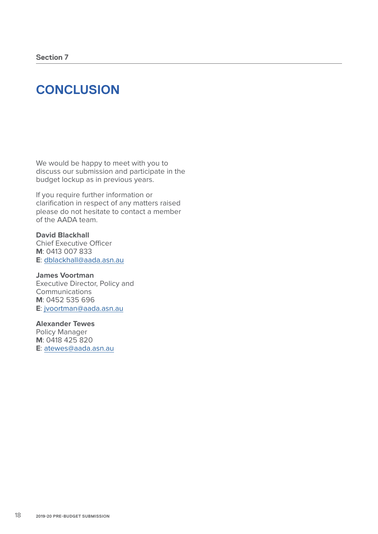## **CONCLUSION**

We would be happy to meet with you to discuss our submission and participate in the budget lockup as in previous years.

If you require further information or clarification in respect of any matters raised please do not hesitate to contact a member of the AADA team.

**David Blackhall**  Chief Executive Officer **M**: 0413 007 833 **E**: dblackhall@aada.asn.au

**James Voortman** Executive Director, Policy and Communications **M**: 0452 535 696 **E**: jvoortman@aada.asn.au

#### **Alexander Tewes**

Policy Manager **M**: 0418 425 820 **E**: atewes@aada.asn.au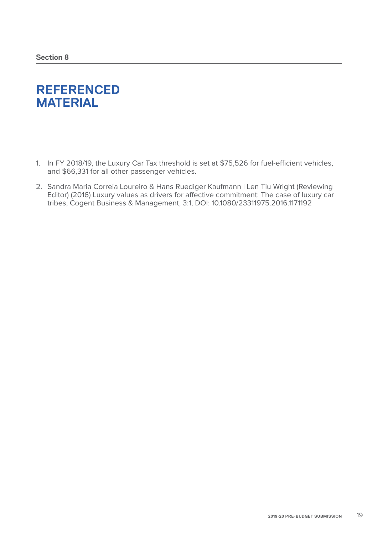## **REFERENCED MATERIAL**

- 1. In FY 2018/19, the Luxury Car Tax threshold is set at \$75,526 for fuel-efficient vehicles, and \$66,331 for all other passenger vehicles.
- 2. Sandra Maria Correia Loureiro & Hans Ruediger Kaufmann | Len Tiu Wright (Reviewing Editor) (2016) Luxury values as drivers for affective commitment: The case of luxury car tribes, Cogent Business & Management, 3:1, DOI: 10.1080/23311975.2016.1171192